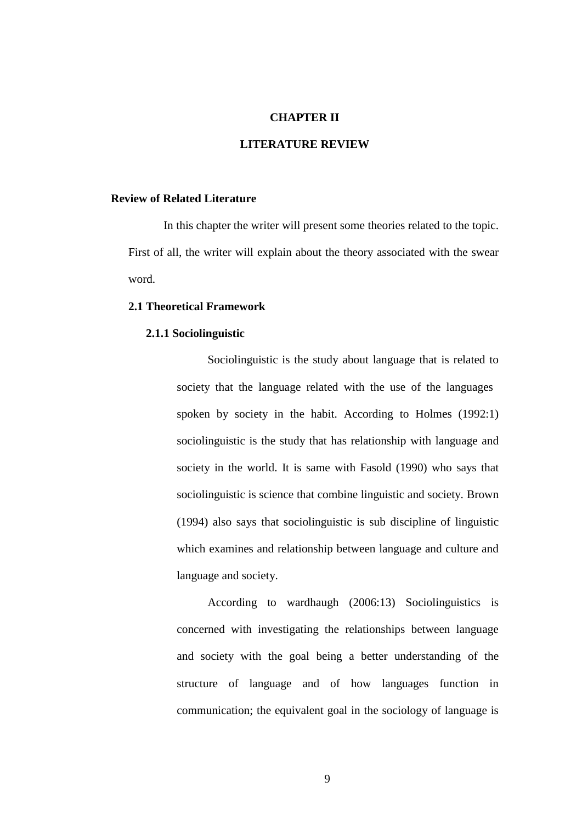## **CHAPTER II**

# **LITERATURE REVIEW**

## **Review of Related Literature**

In this chapter the writer will present some theories related to the topic. First of all, the writer will explain about the theory associated with the swear word.

# **2.1 Theoretical Framework**

#### **2.1.1 Sociolinguistic**

Sociolinguistic is the study about language that is related to society that the language related with the use of the languages spoken by society in the habit. According to Holmes (1992:1) sociolinguistic is the study that has relationship with language and society in the world. It is same with Fasold (1990) who says that sociolinguistic is science that combine linguistic and society. Brown (1994) also says that sociolinguistic is sub discipline of linguistic which examines and relationship between language and culture and language and society.

According to wardhaugh (2006:13) Sociolinguistics is concerned with investigating the relationships between language and society with the goal being a better understanding of the structure of language and of how languages function in communication; the equivalent goal in the sociology of language is

9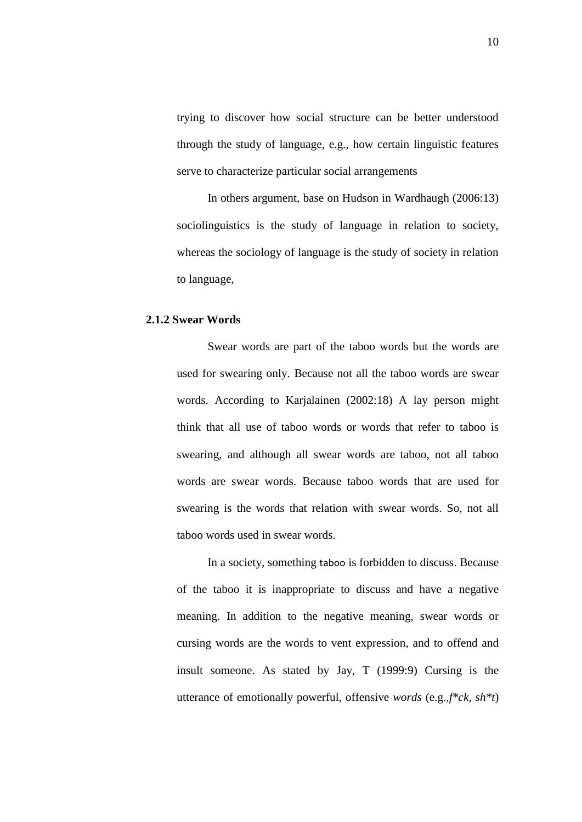trying to discover how social structure can be better understood through the study of language, e.g., how certain linguistic features serve to characterize particular social arrangements

In others argument, base on Hudson in Wardhaugh (2006:13) sociolinguistics is the study of language in relation to society, whereas the sociology of language is the study of society in relation to language,

#### **2.1.2 Swear Words**

Swear words are part of the taboo words but the words are used for swearing only. Because not all the taboo words are swear words. According to Karjalainen (2002:18) A lay person might think that all use of taboo words or words that refer to taboo is swearing, and although all swear words are taboo, not all taboo words are swear words. Because taboo words that are used for swearing is the words that relation with swear words. So, not all taboo words used in swear words.

In a society, something taboo is forbidden to discuss. Because of the taboo it is inappropriate to discuss and have a negative meaning. In addition to the negative meaning, swear words or cursing words are the words to vent expression, and to offend and insult someone. As stated by Jay, T (1999:9) Cursing is the utterance of emotionally powerful, offensive *words* (e.g.,*f\*ck, sh\*t*)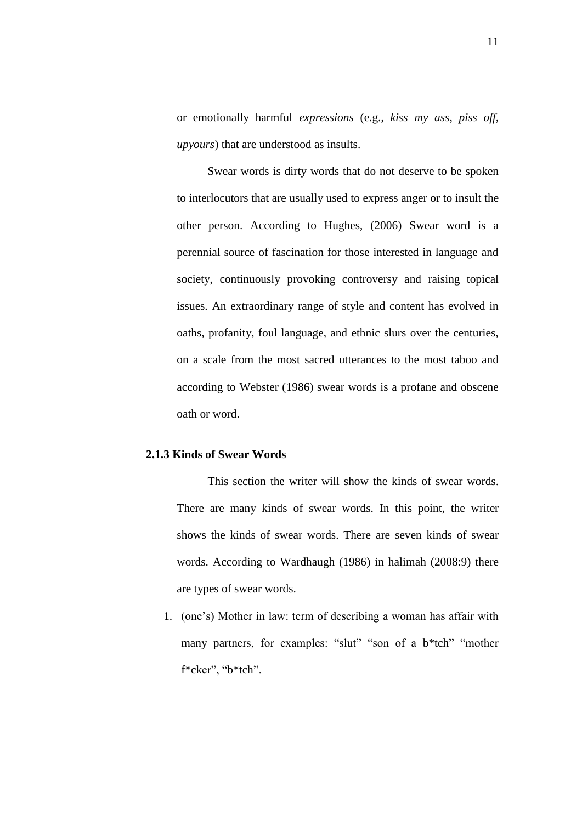or emotionally harmful *expressions* (e.g., *kiss my ass, piss off, upyours*) that are understood as insults.

Swear words is dirty words that do not deserve to be spoken to interlocutors that are usually used to express anger or to insult the other person. According to Hughes, (2006) Swear word is a perennial source of fascination for those interested in language and society, continuously provoking controversy and raising topical issues. An extraordinary range of style and content has evolved in oaths, profanity, foul language, and ethnic slurs over the centuries, on a scale from the most sacred utterances to the most taboo and according to Webster (1986) swear words is a profane and obscene oath or word.

## **2.1.3 Kinds of Swear Words**

This section the writer will show the kinds of swear words. There are many kinds of swear words. In this point, the writer shows the kinds of swear words. There are seven kinds of swear words. According to Wardhaugh (1986) in halimah (2008:9) there are types of swear words.

1. (one's) Mother in law: term of describing a woman has affair with many partners, for examples: "slut" "son of a b\*tch" "mother f\*cker", "b\*tch".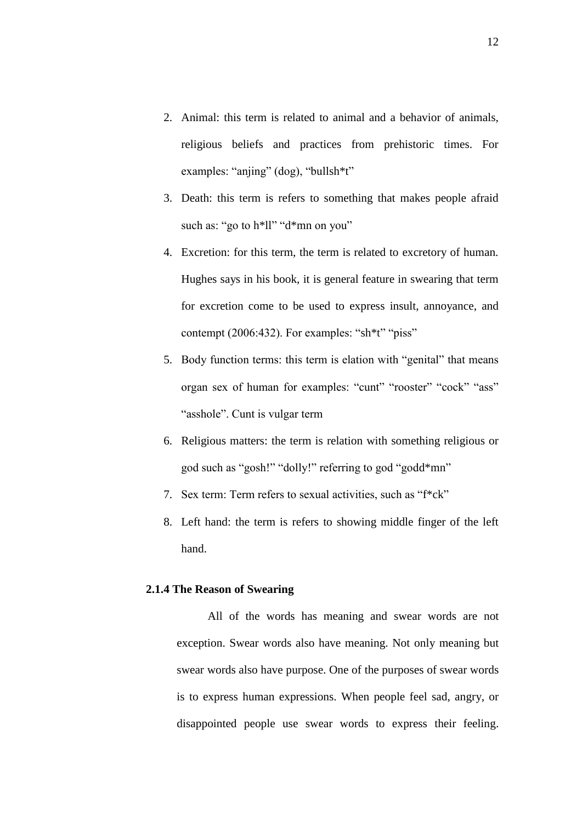- 2. Animal: this term is related to animal and a behavior of animals, religious beliefs and practices from prehistoric times. For examples: "anjing" (dog), "bullsh<sup>\*t"</sup>
- 3. Death: this term is refers to something that makes people afraid such as: "go to h\*ll" "d\*mn on you"
- 4. Excretion: for this term, the term is related to excretory of human. Hughes says in his book, it is general feature in swearing that term for excretion come to be used to express insult, annoyance, and contempt (2006:432). For examples: "sh\*t" "piss"
- 5. Body function terms: this term is elation with "genital" that means organ sex of human for examples: "cunt" "rooster" "cock" "ass" "asshole". Cunt is vulgar term
- 6. Religious matters: the term is relation with something religious or god such as "gosh!" "dolly!" referring to god "godd\*mn"
- 7. Sex term: Term refers to sexual activities, such as "f\*ck"
- 8. Left hand: the term is refers to showing middle finger of the left hand.

#### **2.1.4 The Reason of Swearing**

All of the words has meaning and swear words are not exception. Swear words also have meaning. Not only meaning but swear words also have purpose. One of the purposes of swear words is to express human expressions. When people feel sad, angry, or disappointed people use swear words to express their feeling.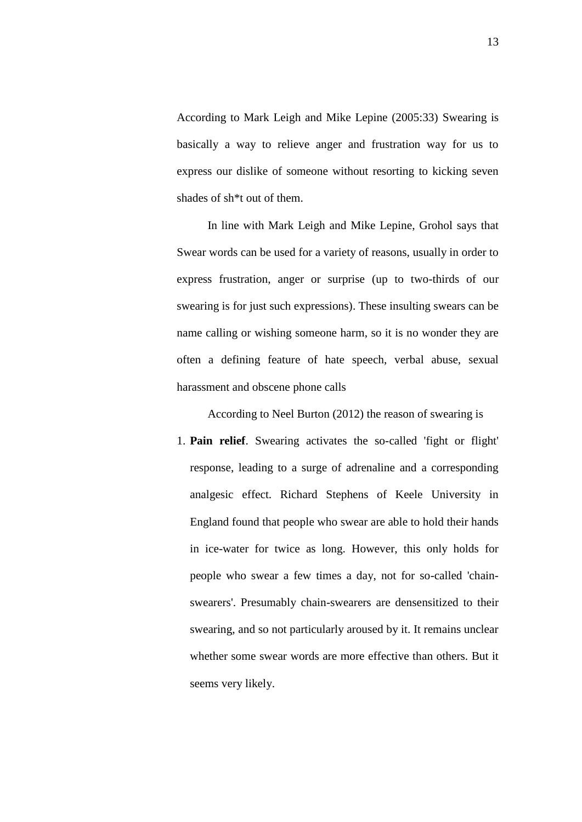According to Mark Leigh and Mike Lepine (2005:33) Swearing is basically a way to relieve anger and frustration way for us to express our dislike of someone without resorting to kicking seven shades of sh\*t out of them.

In line with Mark Leigh and Mike Lepine, Grohol says that Swear words can be used for a variety of reasons, usually in order to express frustration, anger or surprise (up to two-thirds of our swearing is for just such expressions). These insulting swears can be name calling or wishing someone harm, so it is no wonder they are often a defining feature of hate speech, verbal abuse, sexual harassment and obscene phone calls

According to Neel Burton (2012) the reason of swearing is

1. **Pain relief**. Swearing activates the so-called 'fight or flight' response, leading to a surge of adrenaline and a corresponding analgesic effect. Richard Stephens of Keele University in England found that people who swear are able to hold their hands in ice-water for twice as long. However, this only holds for people who swear a few times a day, not for so-called 'chainswearers'. Presumably chain-swearers are densensitized to their swearing, and so not particularly aroused by it. It remains unclear whether some swear words are more effective than others. But it seems very likely.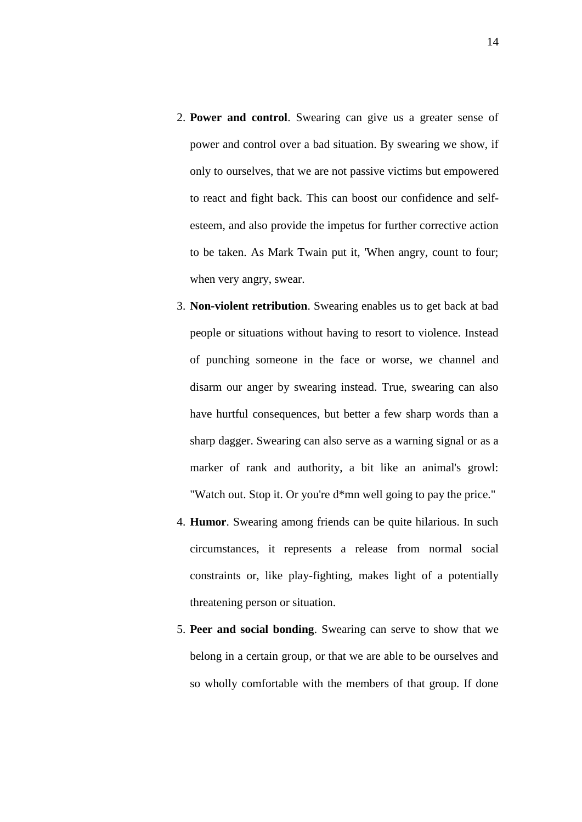- 2. **Power and control**. Swearing can give us a greater sense of power and control over a bad situation. By swearing we show, if only to ourselves, that we are not passive victims but empowered to react and fight back. This can boost our confidence and [self](http://www.psychologytoday.com/basics/self-esteem)[esteem,](http://www.psychologytoday.com/basics/self-esteem) and also provide the impetus for further corrective action to be taken. As Mark Twain put it, 'When angry, count to four; when very angry, swear.
- 3. **Non-violent retribution**. Swearing enables us to get back at bad people or situations without having to resort to violence. Instead of punching someone in the face or worse, we channel and disarm our [anger](http://www.psychologytoday.com/basics/anger) by swearing instead. True, swearing can also have hurtful consequences, but better a few sharp words than a sharp dagger. Swearing can also serve as a warning signal or as a marker of rank and authority, a bit like an animal's growl: "Watch out. Stop it. Or you're d\*mn well going to pay the price."
- 4. **Humor**. Swearing among friends can be quite hilarious. In such circumstances, it represents a release from normal social constraints or, like play-fighting, makes light of a potentially threatening person or situation.
- 5. **Peer and social bonding**. Swearing can serve to show that we belong in a certain group, or that we are able to be ourselves and so wholly comfortable with the members of that group. If done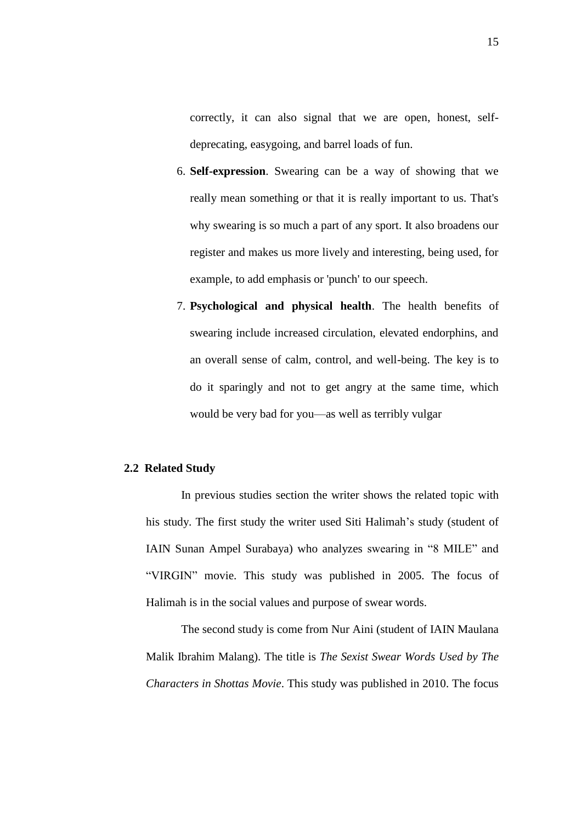correctly, it can also signal that we are open, honest, selfdeprecating, easygoing, and barrel loads of fun.

- 6. **Self-expression**. Swearing can be a way of showing that we really mean something or that it is really important to us. That's why swearing is so much a part of any sport. It also broadens our register and makes us more lively and interesting, being used, for example, to add emphasis or 'punch' to our speech.
- 7. **Psychological and physical health**. The health benefits of swearing include increased circulation, elevated endorphins, and an overall sense of calm, control, and well-being. The key is to do it sparingly and not to get angry at the same time, which would be very bad for you—as well as terribly vulgar

# **2.2 Related Study**

In previous studies section the writer shows the related topic with his study. The first study the writer used Siti Halimah's study (student of IAIN Sunan Ampel Surabaya) who analyzes swearing in "8 MILE" and "VIRGIN" movie. This study was published in 2005. The focus of Halimah is in the social values and purpose of swear words.

The second study is come from Nur Aini (student of IAIN Maulana Malik Ibrahim Malang). The title is *The Sexist Swear Words Used by The Characters in Shottas Movie*. This study was published in 2010. The focus